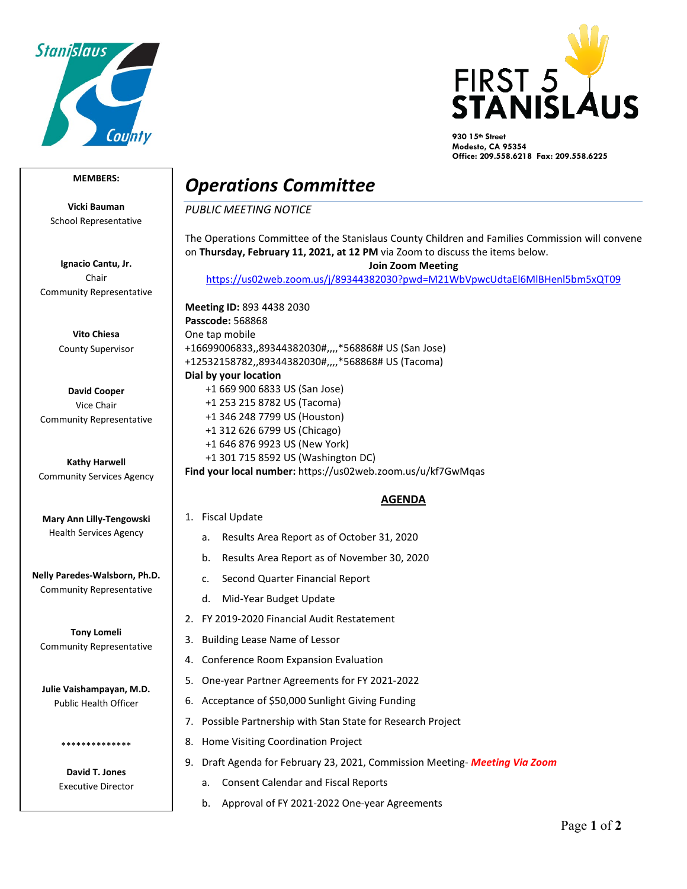



**930 15th Street Modesto, CA 95354 Office: 209.558.6218 Fax: 209.558.6225**

## **MEMBERS:**

**Vicki Bauman** School Representative

**Ignacio Cantu, Jr.** Chair Community Representative

> **Vito Chiesa** County Supervisor

**David Cooper** Vice Chair Community Representative

**Kathy Harwell** Community Services Agency

**Mary Ann Lilly-Tengowski** Health Services Agency

**Nelly Paredes-Walsborn, Ph.D.** Community Representative

**Tony Lomeli** Community Representative

**Julie Vaishampayan, M.D.** Public Health Officer

> **David T. Jones** Executive Director

\*\*\*\*\*\*\*\*\*\*\*\*\*\*

## *Operations Committee*

*PUBLIC MEETING NOTICE*

The Operations Committee of the Stanislaus County Children and Families Commission will convene on **Thursday, February 11, 2021, at 12 PM** via Zoom to discuss the items below.

**Join Zoom Meeting** 

<https://us02web.zoom.us/j/89344382030?pwd=M21WbVpwcUdtaEl6MlBHenl5bm5xQT09>

**Meeting ID:** 893 4438 2030 **Passcode:** 568868 One tap mobile +16699006833,,89344382030#,,,,\*568868# US (San Jose) +12532158782,,89344382030#,,,,\*568868# US (Tacoma) **Dial by your location** +1 669 900 6833 US (San Jose) +1 253 215 8782 US (Tacoma) +1 346 248 7799 US (Houston) +1 312 626 6799 US (Chicago) +1 646 876 9923 US (New York) +1 301 715 8592 US (Washington DC) **Find your local number:** https://us02web.zoom.us/u/kf7GwMqas

## **AGENDA**

- 1. Fiscal Update
	- a. Results Area Report as of October 31, 2020
	- b. Results Area Report as of November 30, 2020
	- c. Second Quarter Financial Report
	- d. Mid-Year Budget Update
- 2. FY 2019-2020 Financial Audit Restatement
- 3. Building Lease Name of Lessor
- 4. Conference Room Expansion Evaluation
- 5. One-year Partner Agreements for FY 2021-2022
- 6. Acceptance of \$50,000 Sunlight Giving Funding
- 7. Possible Partnership with Stan State for Research Project
- 8. Home Visiting Coordination Project
- 9. Draft Agenda for February 23, 2021, Commission Meeting- *Meeting Via Zoom*
	- a. Consent Calendar and Fiscal Reports
	- b. Approval of FY 2021-2022 One-year Agreements